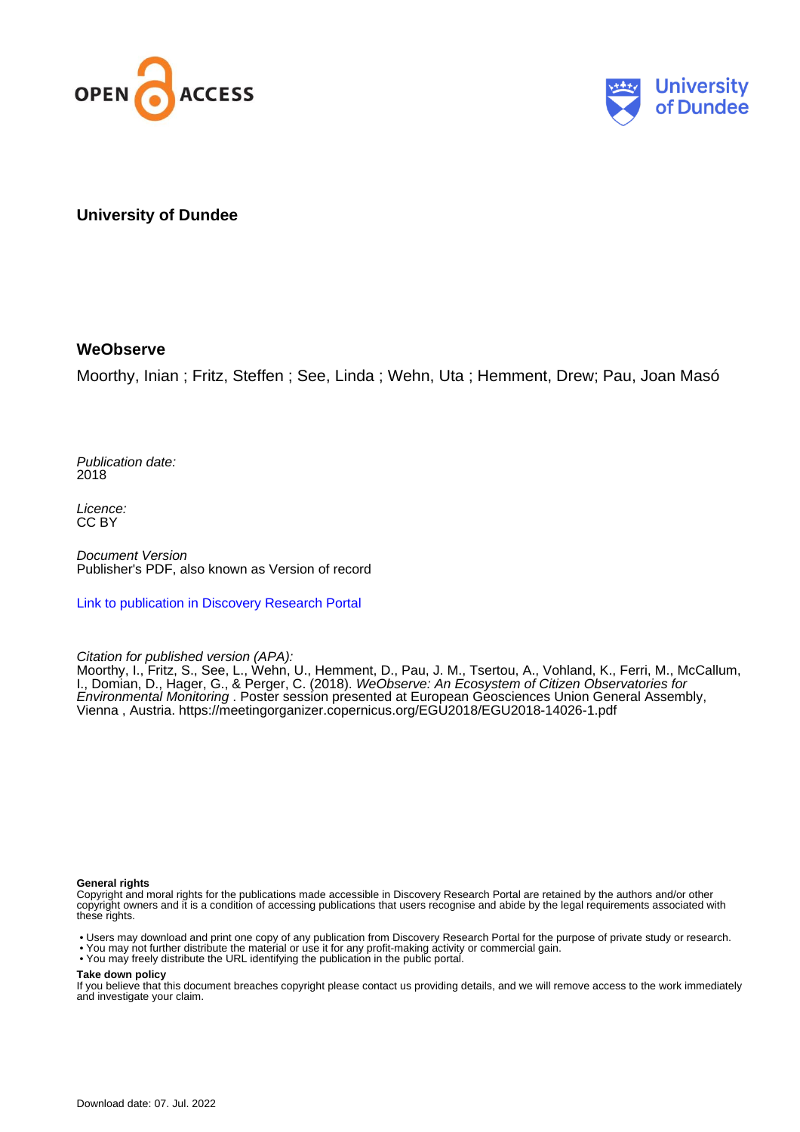



**University of Dundee**

## **WeObserve**

Moorthy, Inian ; Fritz, Steffen ; See, Linda ; Wehn, Uta ; Hemment, Drew; Pau, Joan Masó

Publication date: 2018

Licence: CC BY

Document Version Publisher's PDF, also known as Version of record

[Link to publication in Discovery Research Portal](https://discovery.dundee.ac.uk/en/publications/e5ea9438-27e1-450e-afe0-6afa1e5afddd)

### Citation for published version (APA):

Moorthy, I., Fritz, S., See, L., Wehn, U., Hemment, D., Pau, J. M., Tsertou, A., Vohland, K., Ferri, M., McCallum, I., Domian, D., Hager, G., & Perger, C. (2018). WeObserve: An Ecosystem of Citizen Observatories for Environmental Monitoring . Poster session presented at European Geosciences Union General Assembly, Vienna , Austria.<https://meetingorganizer.copernicus.org/EGU2018/EGU2018-14026-1.pdf>

#### **General rights**

Copyright and moral rights for the publications made accessible in Discovery Research Portal are retained by the authors and/or other copyright owners and it is a condition of accessing publications that users recognise and abide by the legal requirements associated with these rights.

• Users may download and print one copy of any publication from Discovery Research Portal for the purpose of private study or research.

- You may not further distribute the material or use it for any profit-making activity or commercial gain.
- You may freely distribute the URL identifying the publication in the public portal.

#### **Take down policy**

If you believe that this document breaches copyright please contact us providing details, and we will remove access to the work immediately and investigate your claim.